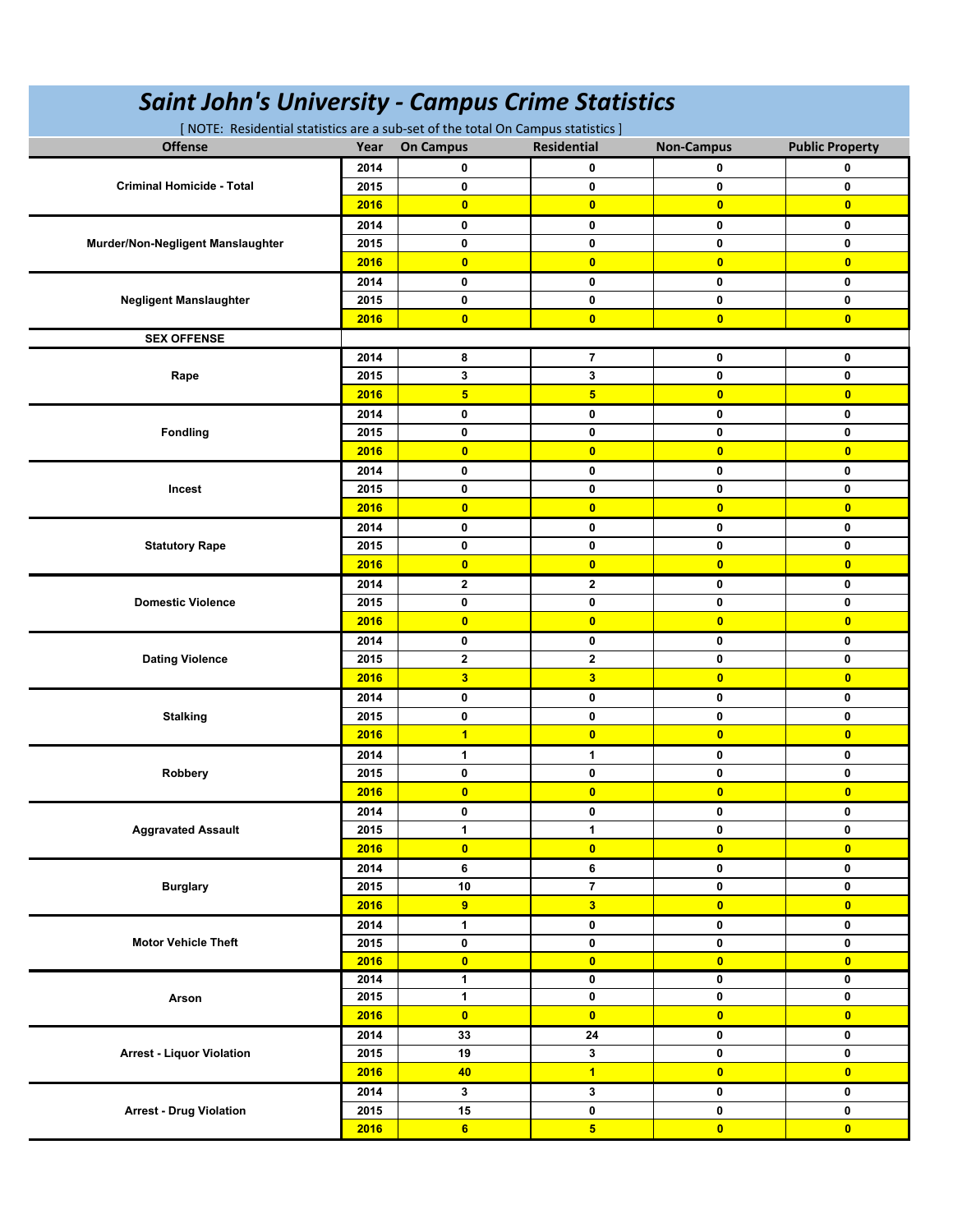| <b>Saint John's University - Campus Crime Statistics</b>                         |      |                         |                         |                         |                         |  |  |  |  |
|----------------------------------------------------------------------------------|------|-------------------------|-------------------------|-------------------------|-------------------------|--|--|--|--|
| [ NOTE: Residential statistics are a sub-set of the total On Campus statistics ] |      |                         |                         |                         |                         |  |  |  |  |
| <b>Offense</b>                                                                   | Year | <b>On Campus</b>        | <b>Residential</b>      | <b>Non-Campus</b>       | <b>Public Property</b>  |  |  |  |  |
| <b>Criminal Homicide - Total</b>                                                 | 2014 | 0                       | 0                       | 0                       | 0                       |  |  |  |  |
|                                                                                  | 2015 | 0                       | 0                       | 0                       | 0                       |  |  |  |  |
|                                                                                  | 2016 | $\mathbf{0}$            | $\overline{0}$          | $\overline{0}$          | $\overline{0}$          |  |  |  |  |
| Murder/Non-Negligent Manslaughter                                                | 2014 | $\mathbf 0$             | 0                       | 0                       | 0                       |  |  |  |  |
|                                                                                  | 2015 | 0                       | 0                       | 0                       | 0                       |  |  |  |  |
|                                                                                  | 2016 | $\mathbf{0}$            | $\overline{0}$          | $\overline{0}$          | $\overline{0}$          |  |  |  |  |
|                                                                                  | 2014 | $\bf{0}$                | 0                       | 0                       | 0                       |  |  |  |  |
| <b>Negligent Manslaughter</b>                                                    | 2015 | $\bf{0}$                | 0                       | 0                       | 0                       |  |  |  |  |
|                                                                                  | 2016 | $\overline{0}$          | $\overline{\mathbf{0}}$ | $\overline{0}$          | $\overline{0}$          |  |  |  |  |
| <b>SEX OFFENSE</b>                                                               |      |                         |                         |                         |                         |  |  |  |  |
|                                                                                  | 2014 | 8                       | 7                       | 0                       | 0                       |  |  |  |  |
| Rape                                                                             | 2015 | 3                       | 3                       | 0                       | 0                       |  |  |  |  |
|                                                                                  | 2016 | $\overline{\mathbf{5}}$ | 5                       | $\overline{\mathbf{0}}$ | $\overline{0}$          |  |  |  |  |
|                                                                                  | 2014 | 0                       | 0                       | 0                       | 0                       |  |  |  |  |
| <b>Fondling</b>                                                                  | 2015 | 0                       | 0                       | 0                       | 0                       |  |  |  |  |
|                                                                                  | 2016 | $\overline{0}$          | $\overline{\mathbf{0}}$ | $\overline{\mathbf{0}}$ | $\overline{0}$          |  |  |  |  |
|                                                                                  | 2014 | 0                       | 0                       | 0                       | 0                       |  |  |  |  |
| Incest                                                                           | 2015 | $\mathbf 0$             | 0                       | 0                       | $\mathbf 0$             |  |  |  |  |
|                                                                                  | 2016 | $\overline{0}$          | $\overline{0}$          | $\overline{0}$          | $\overline{0}$          |  |  |  |  |
|                                                                                  | 2014 | 0                       | 0                       | 0                       | 0                       |  |  |  |  |
| <b>Statutory Rape</b>                                                            | 2015 | 0                       | 0                       | 0                       | 0                       |  |  |  |  |
|                                                                                  | 2016 | $\bullet$               | $\overline{\mathbf{0}}$ | $\bullet$               | $\overline{0}$          |  |  |  |  |
|                                                                                  | 2014 | $\mathbf{2}$            | $\overline{2}$          | 0                       | 0                       |  |  |  |  |
| <b>Domestic Violence</b>                                                         | 2015 | 0                       | 0                       | 0                       | 0                       |  |  |  |  |
|                                                                                  | 2016 | $\overline{0}$          | $\overline{0}$          | $\overline{0}$          | $\bullet$               |  |  |  |  |
|                                                                                  | 2014 | 0                       | 0                       | 0                       | 0                       |  |  |  |  |
| <b>Dating Violence</b>                                                           | 2015 | $\overline{\mathbf{2}}$ | $\mathbf{2}$            | 0                       | 0                       |  |  |  |  |
|                                                                                  | 2016 | $\overline{\mathbf{3}}$ | 3 <sup>2</sup>          | $\overline{0}$          | $\overline{0}$          |  |  |  |  |
|                                                                                  |      |                         |                         |                         |                         |  |  |  |  |
|                                                                                  | 2014 | 0<br>0                  | 0                       | 0<br>0                  | 0                       |  |  |  |  |
| <b>Stalking</b>                                                                  | 2015 |                         | 0                       |                         | 0                       |  |  |  |  |
|                                                                                  | 2016 | $\overline{\mathbf{1}}$ | $\overline{0}$          | $\bullet$               | $\overline{\mathbf{0}}$ |  |  |  |  |
|                                                                                  | 2014 | 1                       | 1                       | 0                       | 0                       |  |  |  |  |
| Robbery                                                                          | 2015 | 0                       | 0                       | 0                       | 0                       |  |  |  |  |
|                                                                                  | 2016 | $\bullet$               | $\bullet$               | $\overline{\mathbf{0}}$ | $\overline{\mathbf{0}}$ |  |  |  |  |
|                                                                                  | 2014 | 0                       | 0                       | 0                       | 0                       |  |  |  |  |
| <b>Aggravated Assault</b>                                                        | 2015 | $\mathbf{1}$            | $\mathbf{1}$            | 0                       | 0                       |  |  |  |  |
|                                                                                  | 2016 | $\overline{\mathbf{0}}$ | $\bullet$               | $\overline{0}$          | $\bullet$               |  |  |  |  |
| <b>Burglary</b>                                                                  | 2014 | 6                       | 6                       | $\mathbf 0$             | 0                       |  |  |  |  |
|                                                                                  | 2015 | $10\,$                  | $\overline{7}$          | $\mathbf 0$             | 0                       |  |  |  |  |
|                                                                                  | 2016 | $\overline{9}$          | 3 <sup>1</sup>          | $\bullet$               | $\overline{0}$          |  |  |  |  |
| <b>Motor Vehicle Theft</b>                                                       | 2014 | 1                       | 0                       | $\mathbf 0$             | 0                       |  |  |  |  |
|                                                                                  | 2015 | 0                       | 0                       | $\mathbf 0$             | 0                       |  |  |  |  |
|                                                                                  | 2016 | $\overline{\mathbf{0}}$ | $\bullet$               | $\bullet$               | $\overline{0}$          |  |  |  |  |
| Arson                                                                            | 2014 | $\mathbf{1}$            | 0                       | $\mathbf 0$             | 0                       |  |  |  |  |
|                                                                                  | 2015 | 1                       | 0                       | 0                       | 0                       |  |  |  |  |
|                                                                                  | 2016 | $\overline{0}$          | $\overline{0}$          | $\overline{0}$          | $\bullet$               |  |  |  |  |
| <b>Arrest - Liquor Violation</b>                                                 | 2014 | 33                      | 24                      | 0                       | 0                       |  |  |  |  |
|                                                                                  | 2015 | 19                      | 3                       | 0                       | 0                       |  |  |  |  |
|                                                                                  | 2016 | 40                      | $\overline{1}$          | $\overline{0}$          | $\bullet$               |  |  |  |  |
| <b>Arrest - Drug Violation</b>                                                   | 2014 | 3                       | 3                       | $\mathbf 0$             | 0                       |  |  |  |  |
|                                                                                  | 2015 | 15                      | $\mathbf 0$             | $\pmb{0}$               | 0                       |  |  |  |  |
|                                                                                  | 2016 | 6                       | 5 <sup>5</sup>          | $\bullet$               | $\bullet$               |  |  |  |  |